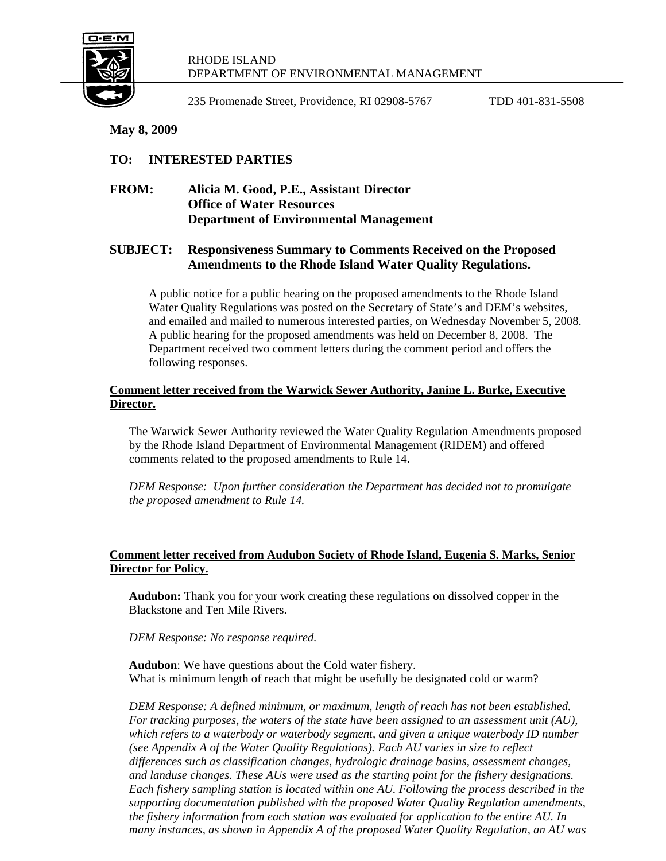

#### RHODE ISLAND DEPARTMENT OF ENVIRONMENTAL MANAGEMENT

235 Promenade Street, Providence, RI 02908-5767 TDD 401-831-5508

**May 8, 2009** 

# **TO: INTERESTED PARTIES**

## **FROM: Alicia M. Good, P.E., Assistant Director Office of Water Resources Department of Environmental Management**

## **SUBJECT: Responsiveness Summary to Comments Received on the Proposed Amendments to the Rhode Island Water Quality Regulations.**

A public notice for a public hearing on the proposed amendments to the Rhode Island Water Quality Regulations was posted on the Secretary of State's and DEM's websites, and emailed and mailed to numerous interested parties, on Wednesday November 5, 2008. A public hearing for the proposed amendments was held on December 8, 2008. The Department received two comment letters during the comment period and offers the following responses.

### **Comment letter received from the Warwick Sewer Authority, Janine L. Burke, Executive Director.**

The Warwick Sewer Authority reviewed the Water Quality Regulation Amendments proposed by the Rhode Island Department of Environmental Management (RIDEM) and offered comments related to the proposed amendments to Rule 14.

*DEM Response: Upon further consideration the Department has decided not to promulgate the proposed amendment to Rule 14.* 

### **Comment letter received from Audubon Society of Rhode Island, Eugenia S. Marks, Senior Director for Policy.**

**Audubon:** Thank you for your work creating these regulations on dissolved copper in the Blackstone and Ten Mile Rivers.

*DEM Response: No response required.* 

**Audubon**: We have questions about the Cold water fishery. What is minimum length of reach that might be usefully be designated cold or warm?

*DEM Response: A defined minimum, or maximum, length of reach has not been established. For tracking purposes, the waters of the state have been assigned to an assessment unit (AU), which refers to a waterbody or waterbody segment, and given a unique waterbody ID number (see Appendix A of the Water Quality Regulations). Each AU varies in size to reflect differences such as classification changes, hydrologic drainage basins, assessment changes, and landuse changes. These AUs were used as the starting point for the fishery designations. Each fishery sampling station is located within one AU. Following the process described in the supporting documentation published with the proposed Water Quality Regulation amendments, the fishery information from each station was evaluated for application to the entire AU. In many instances, as shown in Appendix A of the proposed Water Quality Regulation, an AU was*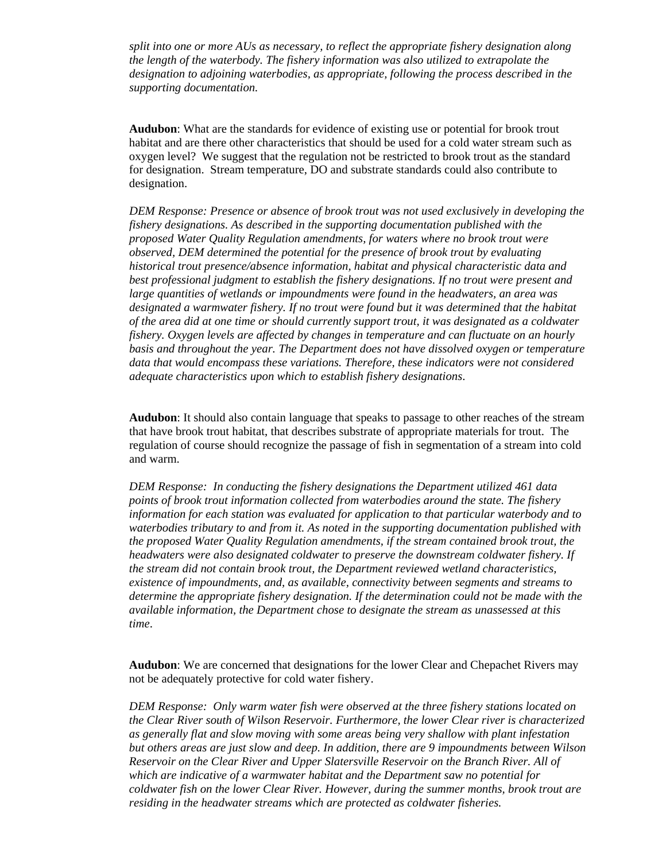*split into one or more AUs as necessary, to reflect the appropriate fishery designation along the length of the waterbody. The fishery information was also utilized to extrapolate the designation to adjoining waterbodies, as appropriate, following the process described in the supporting documentation.* 

**Audubon**: What are the standards for evidence of existing use or potential for brook trout habitat and are there other characteristics that should be used for a cold water stream such as oxygen level? We suggest that the regulation not be restricted to brook trout as the standard for designation. Stream temperature, DO and substrate standards could also contribute to designation.

*DEM Response: Presence or absence of brook trout was not used exclusively in developing the fishery designations. As described in the supporting documentation published with the proposed Water Quality Regulation amendments, for waters where no brook trout were observed, DEM determined the potential for the presence of brook trout by evaluating historical trout presence/absence information, habitat and physical characteristic data and best professional judgment to establish the fishery designations. If no trout were present and large quantities of wetlands or impoundments were found in the headwaters, an area was*  designated a warmwater fishery. If no trout were found but it was determined that the habitat *of the area did at one time or should currently support trout, it was designated as a coldwater fishery. Oxygen levels are affected by changes in temperature and can fluctuate on an hourly basis and throughout the year. The Department does not have dissolved oxygen or temperature data that would encompass these variations. Therefore, these indicators were not considered adequate characteristics upon which to establish fishery designations*.

**Audubon**: It should also contain language that speaks to passage to other reaches of the stream that have brook trout habitat, that describes substrate of appropriate materials for trout. The regulation of course should recognize the passage of fish in segmentation of a stream into cold and warm.

*DEM Response: In conducting the fishery designations the Department utilized 461 data points of brook trout information collected from waterbodies around the state. The fishery information for each station was evaluated for application to that particular waterbody and to waterbodies tributary to and from it. As noted in the supporting documentation published with the proposed Water Quality Regulation amendments, if the stream contained brook trout, the headwaters were also designated coldwater to preserve the downstream coldwater fishery. If the stream did not contain brook trout, the Department reviewed wetland characteristics, existence of impoundments, and, as available, connectivity between segments and streams to determine the appropriate fishery designation. If the determination could not be made with the available information, the Department chose to designate the stream as unassessed at this time*.

**Audubon**: We are concerned that designations for the lower Clear and Chepachet Rivers may not be adequately protective for cold water fishery.

*DEM Response: Only warm water fish were observed at the three fishery stations located on the Clear River south of Wilson Reservoir. Furthermore, the lower Clear river is characterized as generally flat and slow moving with some areas being very shallow with plant infestation but others areas are just slow and deep. In addition, there are 9 impoundments between Wilson Reservoir on the Clear River and Upper Slatersville Reservoir on the Branch River. All of which are indicative of a warmwater habitat and the Department saw no potential for coldwater fish on the lower Clear River. However, during the summer months, brook trout are residing in the headwater streams which are protected as coldwater fisheries.*